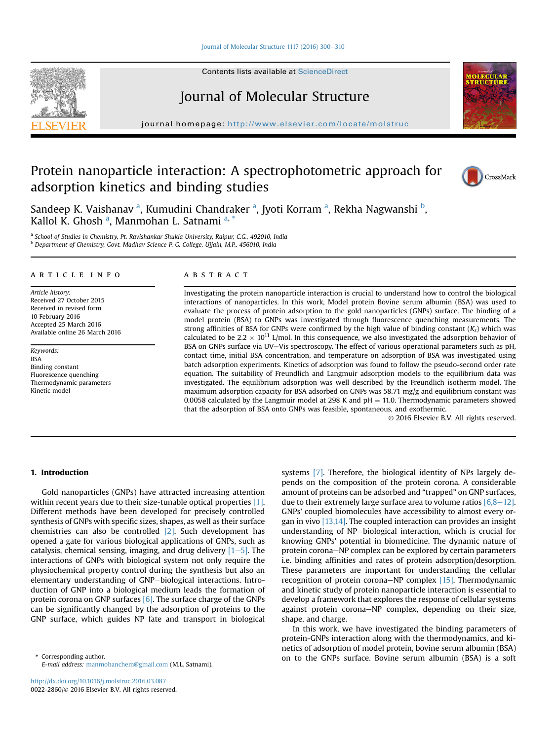#### [Journal of Molecular Structure 1117 \(2016\) 300](http://dx.doi.org/10.1016/j.molstruc.2016.03.087)-[310](http://dx.doi.org/10.1016/j.molstruc.2016.03.087)

Contents lists available at ScienceDirect

## Journal of Molecular Structure

journal homepage: <http://www.elsevier.com/locate/molstruc>

## Protein nanoparticle interaction: A spectrophotometric approach for adsorption kinetics and binding studies



<sup>a</sup> School of Studies in Chemistry, Pt. Ravishankar Shukla University, Raipur, C.G., 492010, India <sup>b</sup> Department of Chemistry, Govt. Madhav Science P. G. College, Ujjain, M.P., 456010, India

#### article info

Article history: Received 27 October 2015 Received in revised form 10 February 2016 Accepted 25 March 2016 Available online 26 March 2016

Keywords: BSA Binding constant Fluorescence quenching Thermodynamic parameters Kinetic model

### **ABSTRACT**

Investigating the protein nanoparticle interaction is crucial to understand how to control the biological interactions of nanoparticles. In this work, Model protein Bovine serum albumin (BSA) was used to evaluate the process of protein adsorption to the gold nanoparticles (GNPs) surface. The binding of a model protein (BSA) to GNPs was investigated through fluorescence quenching measurements. The strong affinities of BSA for GNPs were confirmed by the high value of binding constant  $(K<sub>s</sub>)$  which was calculated to be 2.2  $\times$  10<sup>11</sup> L/mol. In this consequence, we also investigated the adsorption behavior of BSA on GNPs surface via UV-Vis spectroscopy. The effect of various operational parameters such as pH, contact time, initial BSA concentration, and temperature on adsorption of BSA was investigated using batch adsorption experiments. Kinetics of adsorption was found to follow the pseudo-second order rate equation. The suitability of Freundlich and Langmuir adsorption models to the equilibrium data was investigated. The equilibrium adsorption was well described by the Freundlich isotherm model. The maximum adsorption capacity for BSA adsorbed on GNPs was 58.71 mg/g and equilibrium constant was 0.0058 calculated by the Langmuir model at 298 K and  $pH = 11.0$ . Thermodynamic parameters showed that the adsorption of BSA onto GNPs was feasible, spontaneous, and exothermic.

© 2016 Elsevier B.V. All rights reserved.

#### 1. Introduction

Gold nanoparticles (GNPs) have attracted increasing attention within recent years due to their size-tunable optical properties [\[1\].](#page--1-0) Different methods have been developed for precisely controlled synthesis of GNPs with specific sizes, shapes, as well as their surface chemistries can also be controlled [\[2\].](#page--1-0) Such development has opened a gate for various biological applications of GNPs, such as catalysis, chemical sensing, imaging, and drug delivery  $[1-5]$  $[1-5]$  $[1-5]$ . The interactions of GNPs with biological system not only require the physiochemical property control during the synthesis but also an elementary understanding of GNP-biological interactions. Introduction of GNP into a biological medium leads the formation of protein corona on GNP surfaces [\[6\].](#page--1-0) The surface charge of the GNPs can be significantly changed by the adsorption of proteins to the GNP surface, which guides NP fate and transport in biological

E-mail address: [manmohanchem@gmail.com](mailto:manmohanchem@gmail.com) (M.L. Satnami).

systems [\[7\]](#page--1-0). Therefore, the biological identity of NPs largely depends on the composition of the protein corona. A considerable amount of proteins can be adsorbed and "trapped" on GNP surfaces, due to their extremely large surface area to volume ratios  $[6,8-12]$  $[6,8-12]$ . GNPs' coupled biomolecules have accessibility to almost every organ in vivo  $[13,14]$ . The coupled interaction can provides an insight understanding of NP-biological interaction, which is crucial for knowing GNPs' potential in biomedicine. The dynamic nature of protein corona-NP complex can be explored by certain parameters i.e. binding affinities and rates of protein adsorption/desorption. These parameters are important for understanding the cellular recognition of protein corona–NP complex  $[15]$ . Thermodynamic and kinetic study of protein nanoparticle interaction is essential to develop a framework that explores the response of cellular systems against protein corona-NP complex, depending on their size, shape, and charge.

In this work, we have investigated the binding parameters of protein-GNPs interaction along with the thermodynamics, and kinetics of adsorption of model protein, bovine serum albumin (BSA) on to the GNPs surface. Bovine serum albumin (BSA) is a soft \* Corresponding author.



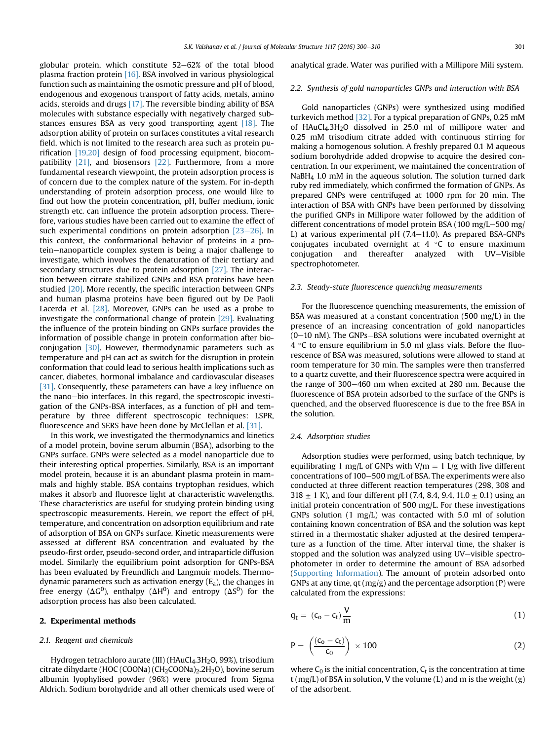globular protein, which constitute  $52-62%$  of the total blood plasma fraction protein [\[16\]](#page--1-0). BSA involved in various physiological function such as maintaining the osmotic pressure and pH of blood, endogenous and exogenous transport of fatty acids, metals, amino acids, steroids and drugs [\[17\]](#page--1-0). The reversible binding ability of BSA molecules with substance especially with negatively charged sub-stances ensures BSA as very good transporting agent [\[18\].](#page--1-0) The adsorption ability of protein on surfaces constitutes a vital research field, which is not limited to the research area such as protein purification [\[19,20\]](#page--1-0) design of food processing equipment, biocompatibility [\[21\]](#page--1-0), and biosensors [\[22\]](#page--1-0). Furthermore, from a more fundamental research viewpoint, the protein adsorption process is of concern due to the complex nature of the system. For in-depth understanding of protein adsorption process, one would like to find out how the protein concentration, pH, buffer medium, ionic strength etc. can influence the protein adsorption process. Therefore, various studies have been carried out to examine the effect of such experimental conditions on protein adsorption  $[23-26]$  $[23-26]$ . In this context, the conformational behavior of proteins in a protein–nanoparticle complex system is being a major challenge to investigate, which involves the denaturation of their tertiary and secondary structures due to protein adsorption [\[27\]](#page--1-0). The interaction between citrate stabilized GNPs and BSA proteins have been studied [\[20\]](#page--1-0). More recently, the specific interaction between GNPs and human plasma proteins have been figured out by De Paoli Lacerda et al. [\[28\].](#page--1-0) Moreover, GNPs can be used as a probe to investigate the conformational change of protein [\[29\].](#page--1-0) Evaluating the influence of the protein binding on GNPs surface provides the information of possible change in protein conformation after bioconjugation [\[30\].](#page--1-0) However, thermodynamic parameters such as temperature and pH can act as switch for the disruption in protein conformation that could lead to serious health implications such as cancer, diabetes, hormonal imbalance and cardiovascular diseases [\[31\].](#page--1-0) Consequently, these parameters can have a key influence on the nano-bio interfaces. In this regard, the spectroscopic investigation of the GNPs-BSA interfaces, as a function of pH and temperature by three different spectroscopic techniques: LSPR, fluorescence and SERS have been done by McClellan et al. [\[31\]](#page--1-0).

In this work, we investigated the thermodynamics and kinetics of a model protein, bovine serum albumin (BSA), adsorbing to the GNPs surface. GNPs were selected as a model nanoparticle due to their interesting optical properties. Similarly, BSA is an important model protein, because it is an abundant plasma protein in mammals and highly stable. BSA contains tryptophan residues, which makes it absorb and fluoresce light at characteristic wavelengths. These characteristics are useful for studying protein binding using spectroscopic measurements. Herein, we report the effect of pH, temperature, and concentration on adsorption equilibrium and rate of adsorption of BSA on GNPs surface. Kinetic measurements were assessed at different BSA concentration and evaluated by the pseudo-first order, pseudo-second order, and intraparticle diffusion model. Similarly the equilibrium point adsorption for GNPs-BSA has been evaluated by Freundlich and Langmuir models. Thermodynamic parameters such as activation energy  $(E_a)$ , the changes in free energy ( $\Delta G^0$ ), enthalpy ( $\Delta H^0$ ) and entropy ( $\Delta S^0$ ) for the adsorption process has also been calculated.

#### 2. Experimental methods

#### 2.1. Reagent and chemicals

Hydrogen tetrachloro aurate (III) (HAuCl<sub>4</sub>.3H<sub>2</sub>O, 99%), trisodium citrate dihydarte (HOC (COONa) (CH2COONa)2.2H2O), bovine serum albumin lyophylised powder (96%) were procured from Sigma Aldrich. Sodium borohydride and all other chemicals used were of analytical grade. Water was purified with a Millipore Mili system.

#### 2.2. Synthesis of gold nanoparticles GNPs and interaction with BSA

Gold nanoparticles (GNPs) were synthesized using modified turkevich method [\[32\].](#page--1-0) For a typical preparation of GNPs, 0.25 mM of HAuCl4.3H2O dissolved in 25.0 ml of millipore water and 0.25 mM trisodium citrate added with continuous stirring for making a homogenous solution. A freshly prepared 0.1 M aqueous sodium borohydride added dropwise to acquire the desired concentration. In our experiment, we maintained the concentration of NaBH4 1.0 mM in the aqueous solution. The solution turned dark ruby red immediately, which confirmed the formation of GNPs. As prepared GNPs were centrifuged at 1000 rpm for 20 min. The interaction of BSA with GNPs have been performed by dissolving the purified GNPs in Millipore water followed by the addition of different concentrations of model protein BSA (100 mg/L $-500$  mg/ L) at various experimental  $pH$  (7.4–11.0). As prepared BSA-GNPs conjugates incubated overnight at  $4 \degree C$  to ensure maximum conjugation and thereafter analyzed with UV-Visible spectrophotometer.

#### 2.3. Steady-state fluorescence quenching measurements

For the fluorescence quenching measurements, the emission of BSA was measured at a constant concentration (500 mg/L) in the presence of an increasing concentration of gold nanoparticles  $(0-10 \text{ nM})$ . The GNPs-BSA solutions were incubated overnight at  $4^{\circ}$ C to ensure equilibrium in 5.0 ml glass vials. Before the fluorescence of BSA was measured, solutions were allowed to stand at room temperature for 30 min. The samples were then transferred to a quartz cuvette, and their fluorescence spectra were acquired in the range of  $300-460$  nm when excited at 280 nm. Because the fluorescence of BSA protein adsorbed to the surface of the GNPs is quenched, and the observed fluorescence is due to the free BSA in the solution.

#### 2.4. Adsorption studies

Adsorption studies were performed, using batch technique, by equilibrating 1 mg/L of GNPs with  $V/m = 1$  L/g with five different concentrations of  $100-500$  mg/L of BSA. The experiments were also conducted at three different reaction temperatures (298, 308 and 318  $\pm$  1 K), and four different pH (7.4, 8.4, 9.4, 11.0  $\pm$  0.1) using an initial protein concentration of 500 mg/L. For these investigations GNPs solution (1 mg/L) was contacted with 5.0 ml of solution containing known concentration of BSA and the solution was kept stirred in a thermostatic shaker adjusted at the desired temperature as a function of the time. After interval time, the shaker is stopped and the solution was analyzed using UV-visible spectrophotometer in order to determine the amount of BSA adsorbed (Supporting Information). The amount of protein adsorbed onto GNPs at any time,  $qt(mg/g)$  and the percentage adsorption (P) were calculated from the expressions:

$$
q_t = (c_o - c_t) \frac{V}{m}
$$
 (1)

$$
P = \left(\frac{(c_0 - c_t)}{c_0}\right) \times 100\tag{2}
$$

where  $C_0$  is the initial concentration,  $C_t$  is the concentration at time  $t$  (mg/L) of BSA in solution, V the volume (L) and m is the weight (g) of the adsorbent.